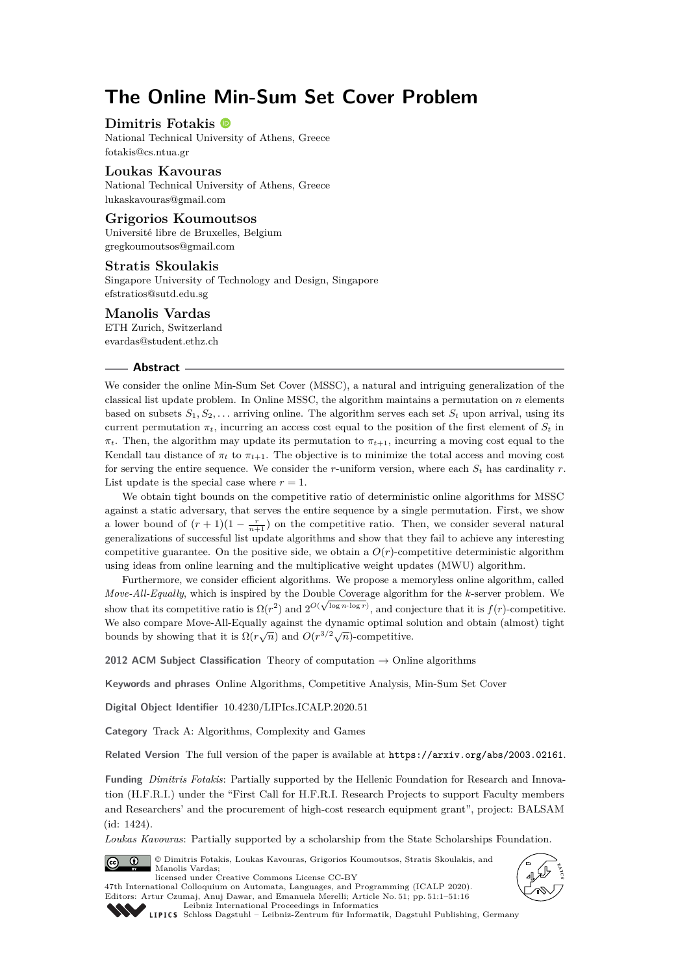# **The Online Min-Sum Set Cover Problem**

## **Dimitris Fotakis**

National Technical University of Athens, Greece [fotakis@cs.ntua.gr](mailto:fotakis@cs.ntua.gr)

## **Loukas Kavouras**

National Technical University of Athens, Greece [lukaskavouras@gmail.com](mailto:lukaskavouras@gmail.com)

# **Grigorios Koumoutsos**

Université libre de Bruxelles, Belgium [gregkoumoutsos@gmail.com](mailto:gregkoumoutsos@gmail.com)

## **Stratis Skoulakis**

Singapore University of Technology and Design, Singapore [efstratios@sutd.edu.sg](mailto:efstratios@sutd.edu.sg)

## **Manolis Vardas**

ETH Zurich, Switzerland [evardas@student.ethz.ch](mailto:evardas@student.ethz.ch)

#### **Abstract**

We consider the online Min-Sum Set Cover (MSSC), a natural and intriguing generalization of the classical list update problem. In Online MSSC, the algorithm maintains a permutation on *n* elements based on subsets  $S_1, S_2, \ldots$  arriving online. The algorithm serves each set  $S_t$  upon arrival, using its current permutation  $\pi_t$ , incurring an access cost equal to the position of the first element of  $S_t$  in  $\pi_t$ . Then, the algorithm may update its permutation to  $\pi_{t+1}$ , incurring a moving cost equal to the Kendall tau distance of  $\pi_t$  to  $\pi_{t+1}$ . The objective is to minimize the total access and moving cost for serving the entire sequence. We consider the *r*-uniform version, where each  $S_t$  has cardinality  $r$ . List update is the special case where  $r = 1$ .

We obtain tight bounds on the competitive ratio of deterministic online algorithms for MSSC against a static adversary, that serves the entire sequence by a single permutation. First, we show a lower bound of  $(r+1)(1-\frac{r}{n+1})$  on the competitive ratio. Then, we consider several natural generalizations of successful list update algorithms and show that they fail to achieve any interesting competitive guarantee. On the positive side, we obtain a  $O(r)$ -competitive deterministic algorithm using ideas from online learning and the multiplicative weight updates (MWU) algorithm.

Furthermore, we consider efficient algorithms. We propose a memoryless online algorithm, called *Move-All-Equally*, which is inspired by the Double Coverage algorithm for the *k*-server problem. We show that its competitive ratio is  $\Omega(r^2)$  and  $2^{O(\sqrt{\log n \cdot \log r})}$ , and conjecture that it is  $f(r)$ -competitive. We also compare Move-All-Equally against the dynamic optimal solution and obtain (almost) tight bounds by showing that it is  $\Omega(r\sqrt{n})$  and  $O(r^{3/2}\sqrt{n})$ -competitive.

**2012 ACM Subject Classification** Theory of computation → Online algorithms

**Keywords and phrases** Online Algorithms, Competitive Analysis, Min-Sum Set Cover

**Digital Object Identifier** [10.4230/LIPIcs.ICALP.2020.51](https://doi.org/10.4230/LIPIcs.ICALP.2020.51)

**Category** Track A: Algorithms, Complexity and Games

**Related Version** The full version of the paper is available at <https://arxiv.org/abs/2003.02161>.

**Funding** *Dimitris Fotakis*: Partially supported by the Hellenic Foundation for Research and Innovation (H.F.R.I.) under the "First Call for H.F.R.I. Research Projects to support Faculty members and Researchers' and the procurement of high-cost research equipment grant", project: BALSAM (id: 1424).

*Loukas Kavouras*: Partially supported by a scholarship from the State Scholarships Foundation.







[Leibniz International Proceedings in Informatics](https://www.dagstuhl.de/lipics/) [Schloss Dagstuhl – Leibniz-Zentrum für Informatik, Dagstuhl Publishing, Germany](https://www.dagstuhl.de)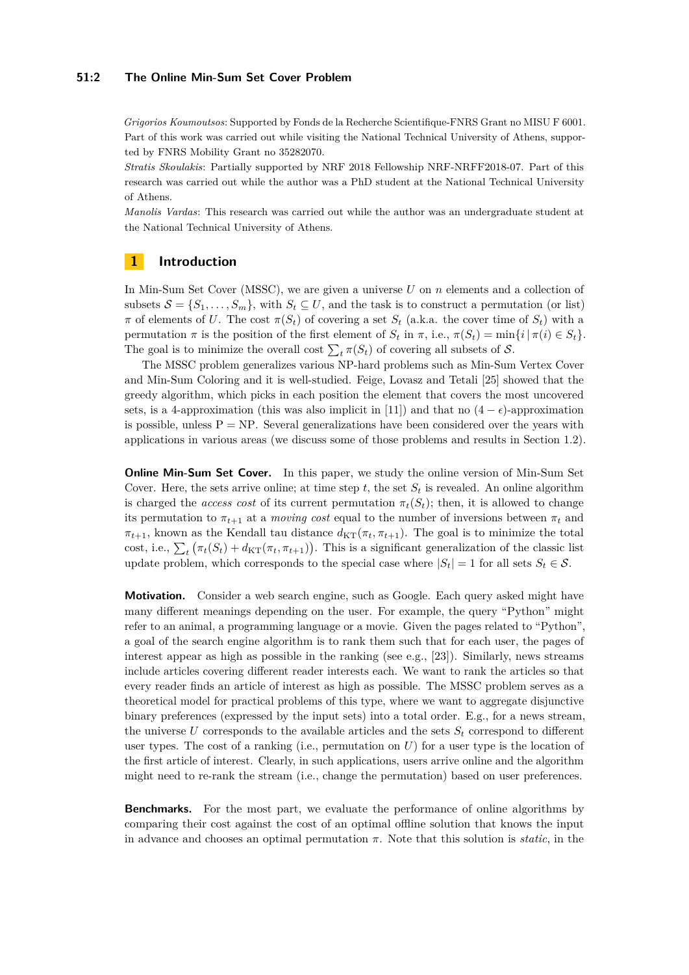#### **51:2 The Online Min-Sum Set Cover Problem**

*Grigorios Koumoutsos*: Supported by Fonds de la Recherche Scientifique-FNRS Grant no MISU F 6001. Part of this work was carried out while visiting the National Technical University of Athens, supported by FNRS Mobility Grant no 35282070.

*Stratis Skoulakis*: Partially supported by NRF 2018 Fellowship NRF-NRFF2018-07. Part of this research was carried out while the author was a PhD student at the National Technical University of Athens.

*Manolis Vardas*: This research was carried out while the author was an undergraduate student at the National Technical University of Athens.

# **1 Introduction**

In Min-Sum Set Cover (MSSC), we are given a universe *U* on *n* elements and a collection of subsets  $S = \{S_1, \ldots, S_m\}$ , with  $S_t \subseteq U$ , and the task is to construct a permutation (or list) *π* of elements of *U*. The cost  $\pi(S_t)$  of covering a set  $S_t$  (a.k.a. the cover time of  $S_t$ ) with a permutation  $\pi$  is the position of the first element of  $S_t$  in  $\pi$ , i.e.,  $\pi(S_t) = \min\{i | \pi(i) \in S_t\}.$ The goal is to minimize the overall cost  $\sum_{t} \pi(S_t)$  of covering all subsets of  $S$ .

The MSSC problem generalizes various NP-hard problems such as Min-Sum Vertex Cover and Min-Sum Coloring and it is well-studied. Feige, Lovasz and Tetali [\[25\]](#page-14-0) showed that the greedy algorithm, which picks in each position the element that covers the most uncovered sets, is a 4-approximation (this was also implicit in [\[11\]](#page-13-0)) and that no  $(4 - \epsilon)$ -approximation is possible, unless  $P = NP$ . Several generalizations have been considered over the years with applications in various areas (we discuss some of those problems and results in Section [1.2\)](#page-4-0).

**Online Min-Sum Set Cover.** In this paper, we study the online version of Min-Sum Set Cover. Here, the sets arrive online; at time step  $t$ , the set  $S_t$  is revealed. An online algorithm is charged the *access cost* of its current permutation  $\pi_t(S_t)$ ; then, it is allowed to change its permutation to  $\pi_{t+1}$  at a *moving cost* equal to the number of inversions between  $\pi_t$  and  $\pi_{t+1}$ , known as the Kendall tau distance  $d_{\text{KT}}(\pi_t, \pi_{t+1})$ . The goal is to minimize the total cost, i.e.,  $\sum_{t} (\pi_t(S_t) + d_{\text{KT}}(\pi_t, \pi_{t+1}))$ . This is a significant generalization of the classic list update problem, which corresponds to the special case where  $|S_t| = 1$  for all sets  $S_t \in \mathcal{S}$ .

**Motivation.** Consider a web search engine, such as Google. Each query asked might have many different meanings depending on the user. For example, the query "Python" might refer to an animal, a programming language or a movie. Given the pages related to "Python", a goal of the search engine algorithm is to rank them such that for each user, the pages of interest appear as high as possible in the ranking (see e.g., [\[23\]](#page-14-1)). Similarly, news streams include articles covering different reader interests each. We want to rank the articles so that every reader finds an article of interest as high as possible. The MSSC problem serves as a theoretical model for practical problems of this type, where we want to aggregate disjunctive binary preferences (expressed by the input sets) into a total order. E.g., for a news stream, the universe  $U$  corresponds to the available articles and the sets  $S_t$  correspond to different user types. The cost of a ranking (i.e., permutation on  $U$ ) for a user type is the location of the first article of interest. Clearly, in such applications, users arrive online and the algorithm might need to re-rank the stream (i.e., change the permutation) based on user preferences.

**Benchmarks.** For the most part, we evaluate the performance of online algorithms by comparing their cost against the cost of an optimal offline solution that knows the input in advance and chooses an optimal permutation  $\pi$ . Note that this solution is *static*, in the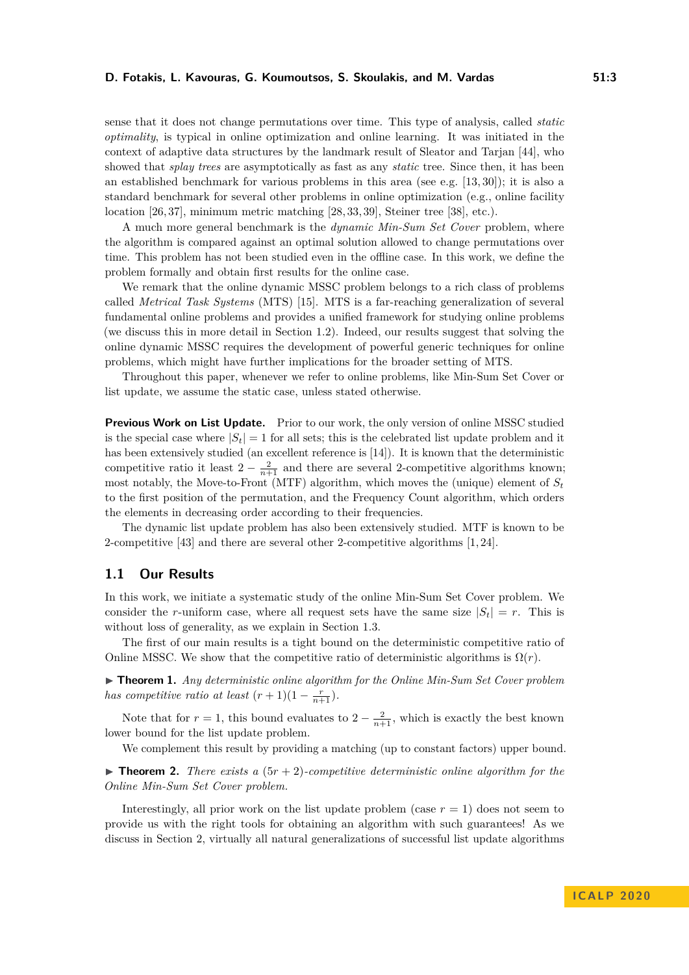#### **D. Fotakis, L. Kavouras, G. Koumoutsos, S. Skoulakis, and M. Vardas 51:3**

sense that it does not change permutations over time. This type of analysis, called *static optimality*, is typical in online optimization and online learning. It was initiated in the context of adaptive data structures by the landmark result of Sleator and Tarjan [\[44\]](#page-15-1), who showed that *splay trees* are asymptotically as fast as any *static* tree. Since then, it has been an established benchmark for various problems in this area (see e.g. [\[13,](#page-13-1) [30\]](#page-14-2)); it is also a standard benchmark for several other problems in online optimization (e.g., online facility location [\[26,](#page-14-3) [37\]](#page-14-4), minimum metric matching [\[28,](#page-14-5) [33,](#page-14-6) [39\]](#page-15-2), Steiner tree [\[38\]](#page-15-3), etc.).

A much more general benchmark is the *dynamic Min-Sum Set Cover* problem, where the algorithm is compared against an optimal solution allowed to change permutations over time. This problem has not been studied even in the offline case. In this work, we define the problem formally and obtain first results for the online case.

We remark that the online dynamic MSSC problem belongs to a rich class of problems called *Metrical Task Systems* (MTS) [\[15\]](#page-14-7). MTS is a far-reaching generalization of several fundamental online problems and provides a unified framework for studying online problems (we discuss this in more detail in Section [1.2\)](#page-4-0). Indeed, our results suggest that solving the online dynamic MSSC requires the development of powerful generic techniques for online problems, which might have further implications for the broader setting of MTS.

Throughout this paper, whenever we refer to online problems, like Min-Sum Set Cover or list update, we assume the static case, unless stated otherwise.

**Previous Work on List Update.** Prior to our work, the only version of online MSSC studied is the special case where  $|S_t| = 1$  for all sets; this is the celebrated list update problem and it has been extensively studied (an excellent reference is [\[14\]](#page-13-2)). It is known that the deterministic competitive ratio it least  $2 - \frac{2}{n+1}$  and there are several 2-competitive algorithms known; most notably, the Move-to-Front (MTF) algorithm, which moves the (unique) element of *S<sup>t</sup>* to the first position of the permutation, and the Frequency Count algorithm, which orders the elements in decreasing order according to their frequencies.

The dynamic list update problem has also been extensively studied. MTF is known to be 2-competitive [\[43\]](#page-15-4) and there are several other 2-competitive algorithms [\[1,](#page-13-3) [24\]](#page-14-8).

#### **1.1 Our Results**

In this work, we initiate a systematic study of the online Min-Sum Set Cover problem. We consider the *r*-uniform case, where all request sets have the same size  $|S_t| = r$ . This is without loss of generality, as we explain in Section [1.3.](#page-5-0)

The first of our main results is a tight bound on the deterministic competitive ratio of Online MSSC. We show that the competitive ratio of deterministic algorithms is  $\Omega(r)$ .

<span id="page-2-1"></span>► **Theorem 1.** *Any deterministic online algorithm for the Online Min-Sum Set Cover problem has competitive ratio at least*  $(r+1)(1-\frac{r}{n+1})$ *.* 

Note that for  $r = 1$ , this bound evaluates to  $2 - \frac{2}{n+1}$ , which is exactly the best known lower bound for the list update problem.

We complement this result by providing a matching (up to constant factors) upper bound.

<span id="page-2-0"></span> $\triangleright$  **Theorem 2.** *There exists a*  $(5r + 2)$ *-competitive deterministic online algorithm for the Online Min-Sum Set Cover problem.*

Interestingly, all prior work on the list update problem (case  $r = 1$ ) does not seem to provide us with the right tools for obtaining an algorithm with such guarantees! As we discuss in Section [2,](#page-5-1) virtually all natural generalizations of successful list update algorithms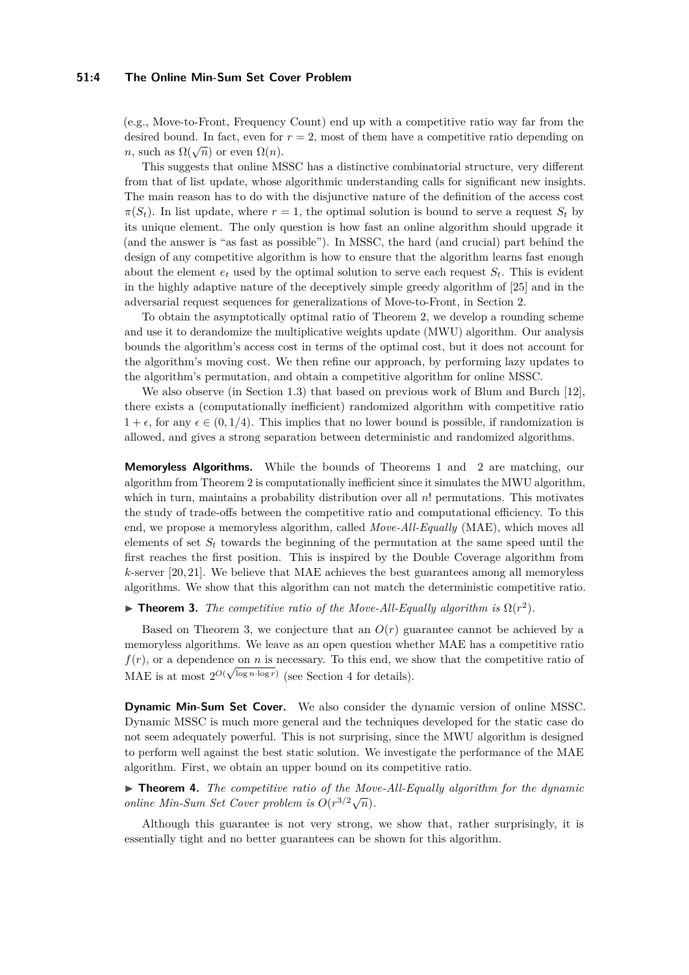#### **51:4 The Online Min-Sum Set Cover Problem**

(e.g., Move-to-Front, Frequency Count) end up with a competitive ratio way far from the desired bound. In fact, even for  $r = 2$ , most of them have a competitive ratio depending on  $n$ , such as  $\Omega(\sqrt{n})$  or even  $\Omega(n)$ .

This suggests that online MSSC has a distinctive combinatorial structure, very different from that of list update, whose algorithmic understanding calls for significant new insights. The main reason has to do with the disjunctive nature of the definition of the access cost  $\pi(S_t)$ . In list update, where  $r = 1$ , the optimal solution is bound to serve a request  $S_t$  by its unique element. The only question is how fast an online algorithm should upgrade it (and the answer is "as fast as possible"). In MSSC, the hard (and crucial) part behind the design of any competitive algorithm is how to ensure that the algorithm learns fast enough about the element  $e_t$  used by the optimal solution to serve each request  $S_t$ . This is evident in the highly adaptive nature of the deceptively simple greedy algorithm of [\[25\]](#page-14-0) and in the adversarial request sequences for generalizations of Move-to-Front, in Section [2.](#page-5-1)

To obtain the asymptotically optimal ratio of Theorem [2,](#page-2-0) we develop a rounding scheme and use it to derandomize the multiplicative weights update (MWU) algorithm. Our analysis bounds the algorithm's access cost in terms of the optimal cost, but it does not account for the algorithm's moving cost. We then refine our approach, by performing lazy updates to the algorithm's permutation, and obtain a competitive algorithm for online MSSC.

We also observe (in Section [1.3\)](#page-5-0) that based on previous work of Blum and Burch [\[12\]](#page-13-4), there exists a (computationally inefficient) randomized algorithm with competitive ratio  $1 + \epsilon$ , for any  $\epsilon \in (0, 1/4)$ . This implies that no lower bound is possible, if randomization is allowed, and gives a strong separation between deterministic and randomized algorithms.

**Memoryless Algorithms.** While the bounds of Theorems [1](#page-2-1) and [2](#page-2-0) are matching, our algorithm from Theorem [2](#page-2-0) is computationally inefficient since it simulates the MWU algorithm, which in turn, maintains a probability distribution over all *n*! permutations. This motivates the study of trade-offs between the competitive ratio and computational efficiency. To this end, we propose a memoryless algorithm, called *Move-All-Equally* (MAE), which moves all elements of set  $S_t$  towards the beginning of the permutation at the same speed until the first reaches the first position. This is inspired by the Double Coverage algorithm from *k*-server [\[20,](#page-14-9) [21\]](#page-14-10). We believe that MAE achieves the best guarantees among all memoryless algorithms. We show that this algorithm can not match the deterministic competitive ratio.

<span id="page-3-0"></span>**Theorem 3.** *The competitive ratio of the Move-All-Equally algorithm is*  $\Omega(r^2)$ *.* 

Based on Theorem [3,](#page-3-0) we conjecture that an  $O(r)$  guarantee cannot be achieved by a memoryless algorithms. We leave as an open question whether MAE has a competitive ratio  $f(r)$ , or a dependence on *n* is necessary. To this end, we show that the competitive ratio of MAE is at most  $2^{O(\sqrt{\log n} \cdot \log r)}$  (see Section [4](#page-10-0) for details).

**Dynamic Min-Sum Set Cover.** We also consider the dynamic version of online MSSC. Dynamic MSSC is much more general and the techniques developed for the static case do not seem adequately powerful. This is not surprising, since the MWU algorithm is designed to perform well against the best static solution. We investigate the performance of the MAE algorithm. First, we obtain an upper bound on its competitive ratio.

<span id="page-3-1"></span>▶ **Theorem 4.** *The competitive ratio of the Move-All-Equally algorithm for the dynamic online Min-Sum Set Cover problem is*  $O(r^{3/2}\sqrt{n})$ .

<span id="page-3-2"></span>Although this guarantee is not very strong, we show that, rather surprisingly, it is essentially tight and no better guarantees can be shown for this algorithm.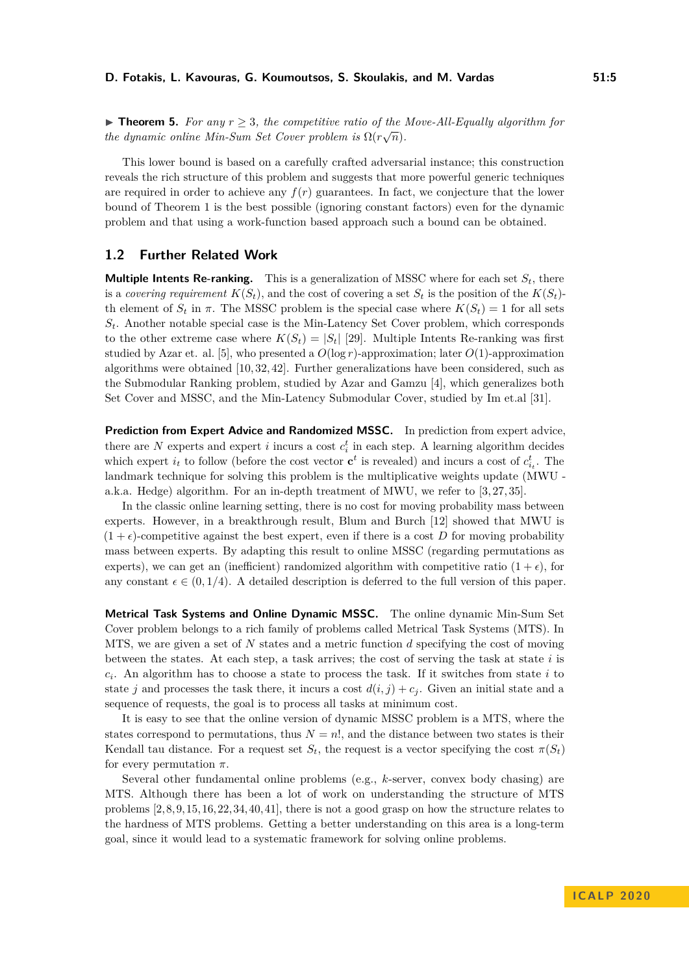**Find Theorem 5.** For any  $r \geq 3$ , the competitive ratio of the Move-All-Equally algorithm for *the dynamic online Min-Sum Set Cover problem is*  $\Omega(r\sqrt{n})$ *.* 

This lower bound is based on a carefully crafted adversarial instance; this construction reveals the rich structure of this problem and suggests that more powerful generic techniques are required in order to achieve any  $f(r)$  guarantees. In fact, we conjecture that the lower bound of Theorem [1](#page-2-1) is the best possible (ignoring constant factors) even for the dynamic problem and that using a work-function based approach such a bound can be obtained.

## <span id="page-4-0"></span>**1.2 Further Related Work**

**Multiple Intents Re-ranking.** This is a generalization of MSSC where for each set  $S_t$ , there is a *covering requirement*  $K(S_t)$ , and the cost of covering a set  $S_t$  is the position of the  $K(S_t)$ th element of  $S_t$  in  $\pi$ . The MSSC problem is the special case where  $K(S_t) = 1$  for all sets *St*. Another notable special case is the Min-Latency Set Cover problem, which corresponds to the other extreme case where  $K(S_t) = |S_t|$  [\[29\]](#page-14-11). Multiple Intents Re-ranking was first studied by Azar et. al. [\[5\]](#page-13-5), who presented a  $O(\log r)$ -approximation; later  $O(1)$ -approximation algorithms were obtained [\[10,](#page-13-6) [32,](#page-14-12) [42\]](#page-15-5). Further generalizations have been considered, such as the Submodular Ranking problem, studied by Azar and Gamzu [\[4\]](#page-13-7), which generalizes both Set Cover and MSSC, and the Min-Latency Submodular Cover, studied by Im et.al [\[31\]](#page-14-13).

**Prediction from Expert Advice and Randomized MSSC.** In prediction from expert advice, there are  $N$  experts and expert  $i$  incurs a cost  $c_i^t$  in each step. A learning algorithm decides which expert  $i_t$  to follow (before the cost vector  $\mathbf{c}^t$  is revealed) and incurs a cost of  $c_{i_t}^t$ . The landmark technique for solving this problem is the multiplicative weights update (MWU - a.k.a. Hedge) algorithm. For an in-depth treatment of MWU, we refer to [\[3,](#page-13-8)[27,](#page-14-14)[35\]](#page-14-15).

In the classic online learning setting, there is no cost for moving probability mass between experts. However, in a breakthrough result, Blum and Burch [\[12\]](#page-13-4) showed that MWU is  $(1 + \epsilon)$ -competitive against the best expert, even if there is a cost *D* for moving probability mass between experts. By adapting this result to online MSSC (regarding permutations as experts), we can get an (inefficient) randomized algorithm with competitive ratio  $(1 + \epsilon)$ , for any constant  $\epsilon \in (0, 1/4)$ . A detailed description is deferred to the full version of this paper.

**Metrical Task Systems and Online Dynamic MSSC.** The online dynamic Min-Sum Set Cover problem belongs to a rich family of problems called Metrical Task Systems (MTS). In MTS, we are given a set of *N* states and a metric function *d* specifying the cost of moving between the states. At each step, a task arrives; the cost of serving the task at state *i* is *ci* . An algorithm has to choose a state to process the task. If it switches from state *i* to state *j* and processes the task there, it incurs a cost  $d(i, j) + c_j$ . Given an initial state and a sequence of requests, the goal is to process all tasks at minimum cost.

It is easy to see that the online version of dynamic MSSC problem is a MTS, where the states correspond to permutations, thus  $N = n!$ , and the distance between two states is their Kendall tau distance. For a request set  $S_t$ , the request is a vector specifying the cost  $\pi(S_t)$ for every permutation *π*.

Several other fundamental online problems (e.g., *k*-server, convex body chasing) are MTS. Although there has been a lot of work on understanding the structure of MTS problems [\[2,](#page-13-9)[8,](#page-13-10)[9,](#page-13-11)[15,](#page-14-7)[16,](#page-14-16)[22,](#page-14-17)[34,](#page-14-18)[40,](#page-15-6)[41\]](#page-15-7), there is not a good grasp on how the structure relates to the hardness of MTS problems. Getting a better understanding on this area is a long-term goal, since it would lead to a systematic framework for solving online problems.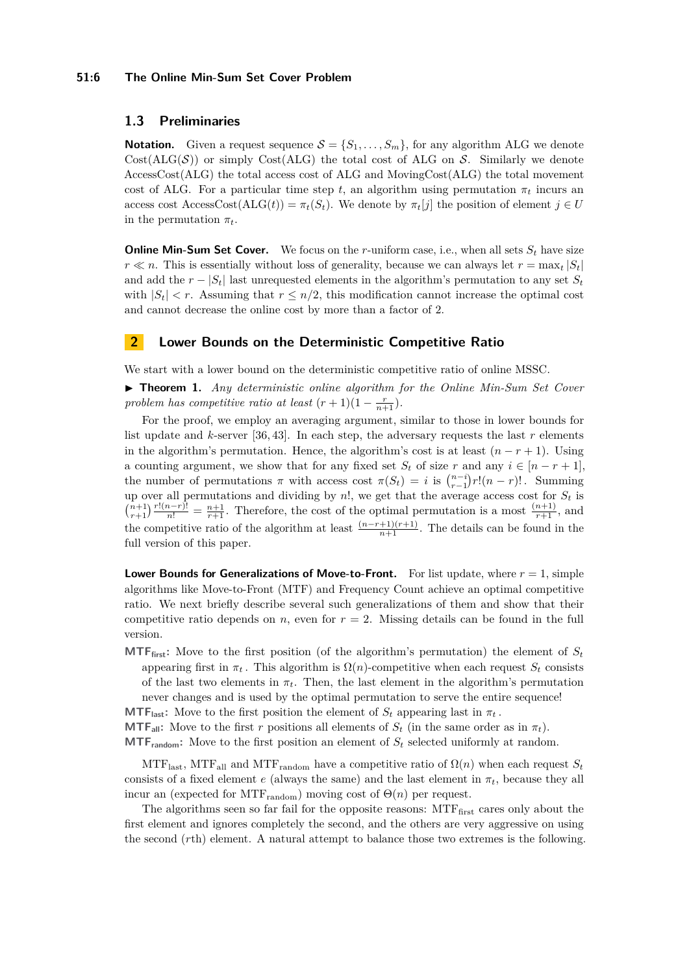#### **51:6 The Online Min-Sum Set Cover Problem**

# <span id="page-5-0"></span>**1.3 Preliminaries**

**Notation.** Given a request sequence  $S = \{S_1, \ldots, S_m\}$ , for any algorithm ALG we denote  $Cost(ALG(\mathcal{S}))$  or simply Cost(ALG) the total cost of ALG on S. Similarly we denote AccessCost(ALG) the total access cost of ALG and MovingCost(ALG) the total movement cost of ALG. For a particular time step *t*, an algorithm using permutation  $\pi_t$  incurs an access cost AccessCost(ALG(*t*)) =  $\pi_t(S_t)$ . We denote by  $\pi_t[j]$  the position of element  $j \in U$ in the permutation  $\pi_t$ .

**Online Min-Sum Set Cover.** We focus on the *r*-uniform case, i.e., when all sets  $S_t$  have size  $r \ll n$ . This is essentially without loss of generality, because we can always let  $r = \max_t |S_t|$ and add the  $r - |S_t|$  last unrequested elements in the algorithm's permutation to any set  $S_t$ with  $|S_t| < r$ . Assuming that  $r \leq n/2$ , this modification cannot increase the optimal cost and cannot decrease the online cost by more than a factor of 2.

# <span id="page-5-1"></span>**2 Lower Bounds on the Deterministic Competitive Ratio**

We start with a lower bound on the deterministic competitive ratio of online MSSC.

I **Theorem [1.](#page-2-1)** *Any deterministic online algorithm for the Online Min-Sum Set Cover problem has competitive ratio at least*  $(r + 1)(1 - \frac{r}{n+1})$ *.* 

For the proof, we employ an averaging argument, similar to those in lower bounds for list update and *k*-server [\[36,](#page-14-19) [43\]](#page-15-4). In each step, the adversary requests the last *r* elements in the algorithm's permutation. Hence, the algorithm's cost is at least  $(n - r + 1)$ . Using a counting argument, we show that for any fixed set  $S_t$  of size  $r$  and any  $i \in [n - r + 1]$ , the number of permutations  $\pi$  with access cost  $\pi(S_t) = i$  is  $\binom{n-i}{r-1} r!(n-r)!$ . Summing up over all permutations and dividing by  $n!$ , we get that the average access cost for  $S_t$  is  $\binom{n+1}{r+1} \frac{r!(n-r)!}{n!} = \frac{n+1}{r+1}$ . Therefore, the cost of the optimal permutation is a most  $\frac{(n+1)}{r+1}$ , and the competitive ratio of the algorithm at least  $\frac{(n-r+1)(r+1)}{n+1}$ . The details can be found in the full version of this paper.

**Lower Bounds for Generalizations of Move-to-Front.** For list update, where *r* = 1, simple algorithms like Move-to-Front (MTF) and Frequency Count achieve an optimal competitive ratio. We next briefly describe several such generalizations of them and show that their competitive ratio depends on *n*, even for  $r = 2$ . Missing details can be found in the full version.

**MTF**<sub>first</sub>: Move to the first position (of the algorithm's permutation) the element of  $S_t$ appearing first in  $\pi_t$ . This algorithm is  $\Omega(n)$ -competitive when each request  $S_t$  consists of the last two elements in  $\pi_t$ . Then, the last element in the algorithm's permutation never changes and is used by the optimal permutation to serve the entire sequence!

**MTF**<sub>last</sub>: Move to the first position the element of  $S_t$  appearing last in  $\pi_t$ .

**MTF**<sub>all</sub>**:** Move to the first *r* positions all elements of  $S_t$  (in the same order as in  $\pi_t$ ). **MTF**<sub>random</sub>: Move to the first position an element of  $S_t$  selected uniformly at random.

MTF<sub>last</sub>, MTF<sub>all</sub> and MTF<sub>random</sub> have a competitive ratio of  $\Omega(n)$  when each request  $S_t$ consists of a fixed element *e* (always the same) and the last element in  $\pi_t$ , because they all incur an (expected for MTF<sub>random</sub>) moving cost of  $\Theta(n)$  per request.

The algorithms seen so far fail for the opposite reasons:  $MTF_{\text{first}}$  cares only about the first element and ignores completely the second, and the others are very aggressive on using the second (*r*th) element. A natural attempt to balance those two extremes is the following.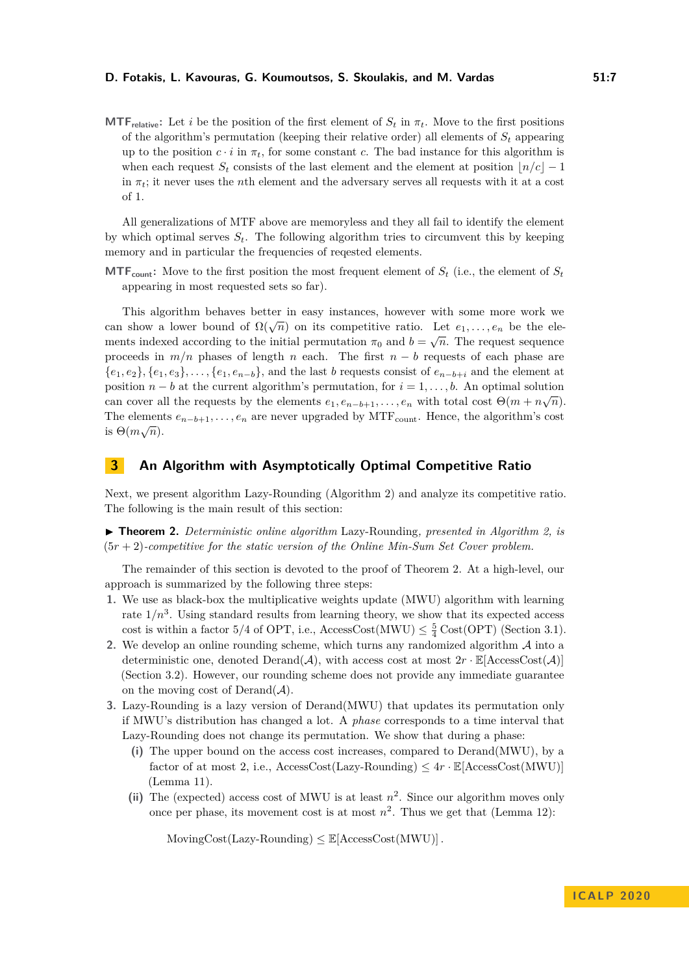#### **D. Fotakis, L. Kavouras, G. Koumoutsos, S. Skoulakis, and M. Vardas 51:7**

**MTF**<sub>relative</sub>: Let *i* be the position of the first element of  $S_t$  in  $\pi_t$ . Move to the first positions of the algorithm's permutation (keeping their relative order) all elements of  $S_t$  appearing up to the position  $c \cdot i$  in  $\pi_t$ , for some constant *c*. The bad instance for this algorithm is when each request  $S_t$  consists of the last element and the element at position  $|n/c| - 1$ in  $\pi_t$ ; it never uses the *n*th element and the adversary serves all requests with it at a cost of 1.

All generalizations of MTF above are memoryless and they all fail to identify the element by which optimal serves  $S_t$ . The following algorithm tries to circumvent this by keeping memory and in particular the frequencies of reqested elements.

**MTF**<sub>count</sub>: Move to the first position the most frequent element of  $S_t$  (i.e., the element of  $S_t$ appearing in most requested sets so far).

This algorithm behaves better in easy instances, however with some more work we can show a lower bound of  $\Omega(\sqrt{n})$  on its competitive ratio. Let  $e_1, \ldots, e_n$  be the elements indexed according to the initial permutation  $\pi_0$  and  $b = \sqrt{n}$ . The request sequence proceeds in *m/n* phases of length *n* each. The first *n* − *b* requests of each phase are {*e*1*, e*2}*,* {*e*1*, e*3}*, . . . ,* {*e*1*, en*−*b*}, and the last *b* requests consist of *en*−*b*+*<sup>i</sup>* and the element at position *n* − *b* at the current algorithm's permutation, for  $i = 1, \ldots, b$ . An optimal solution can cover all the requests by the elements  $e_1, e_{n-b+1}, \ldots, e_n$  with total cost  $\Theta(m + n\sqrt{n})$ . The elements  $e_{n-b+1}, \ldots, e_n$  are never upgraded by MTF<sub>count</sub>. Hence, the algorithm's cost  $\cdot$  ∴ ∴ ∴ is  $\Theta(m\sqrt{n})$ .

# **3 An Algorithm with Asymptotically Optimal Competitive Ratio**

Next, we present algorithm Lazy-Rounding (Algorithm [2\)](#page-9-0) and analyze its competitive ratio. The following is the main result of this section:

I **Theorem [2.](#page-2-0)** *Deterministic online algorithm* Lazy-Rounding*, presented in Algorithm [2,](#page-9-0) is* (5*r* + 2)*-competitive for the static version of the Online Min-Sum Set Cover problem.*

The remainder of this section is devoted to the proof of Theorem [2.](#page-2-0) At a high-level, our approach is summarized by the following three steps:

- **1.** We use as black-box the multiplicative weights update (MWU) algorithm with learning rate  $1/n<sup>3</sup>$ . Using standard results from learning theory, we show that its expected access cost is within a factor  $5/4$  of OPT, i.e., AccessCost(MWU)  $\leq \frac{5}{4}$  Cost(OPT) (Section [3.1\)](#page-7-0).
- **2.** We develop an online rounding scheme, which turns any randomized algorithm A into a deterministic one, denoted  $\text{Derand}(\mathcal{A})$ , with access cost at most  $2r \cdot \mathbb{E}[\text{AccessCost}(\mathcal{A})]$ (Section [3.2\)](#page-8-0). However, our rounding scheme does not provide any immediate guarantee on the moving cost of  $Derand(\mathcal{A})$ .
- **3.** Lazy-Rounding is a lazy version of Derand(MWU) that updates its permutation only if MWU's distribution has changed a lot. A *phase* corresponds to a time interval that Lazy-Rounding does not change its permutation. We show that during a phase:
	- **(i)** The upper bound on the access cost increases, compared to Derand(MWU), by a factor of at most 2, i.e.,  $\text{AccessCost}(\text{Lazy-Rounding}) \leq 4r \cdot \mathbb{E}[\text{AccessCost}(\text{MWU})]$ (Lemma [11\)](#page-9-1).
	- (ii) The (expected) access cost of MWU is at least  $n^2$ . Since our algorithm moves only once per phase, its movement cost is at most  $n^2$ . Thus we get that (Lemma [12\)](#page-9-2):

 $MovingCost(Lazy-Rounding) \leq \mathbb{E}[AccessCost(MWU)].$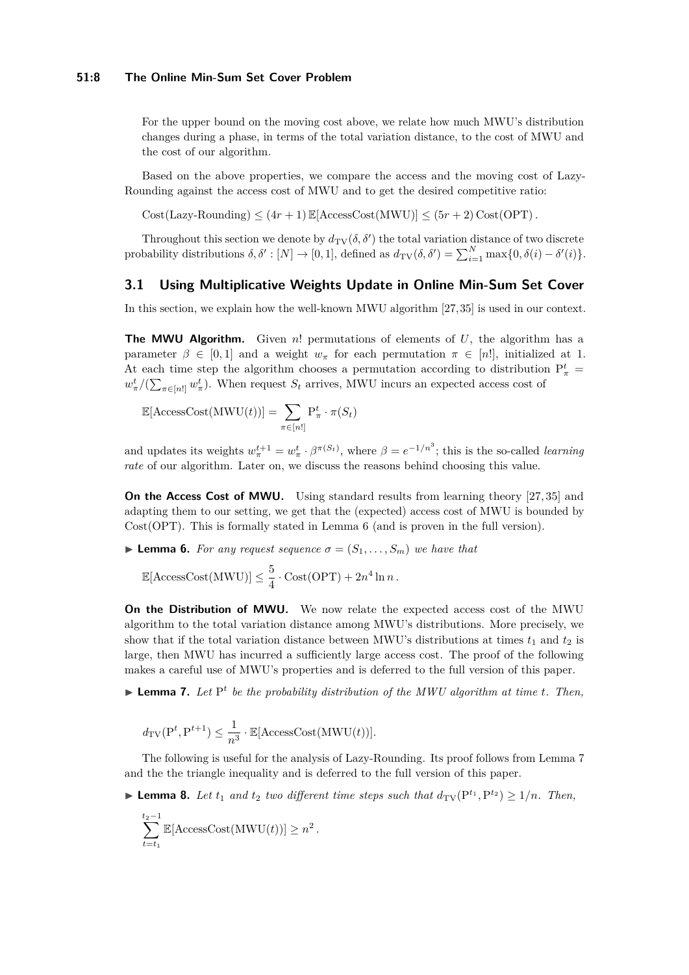For the upper bound on the moving cost above, we relate how much MWU's distribution changes during a phase, in terms of the total variation distance, to the cost of MWU and the cost of our algorithm.

Based on the above properties, we compare the access and the moving cost of Lazy-Rounding against the access cost of MWU and to get the desired competitive ratio:

 $Cost(Lazy-Rounding) \leq (4r + 1) \mathbb{E}[AccessCost(MWU)] \leq (5r + 2) \mathbb{C}ost(OPT)$ .

Throughout this section we denote by  $d_{TV}(\delta, \delta')$  the total variation distance of two discrete probability distributions  $\delta, \delta' : [N] \to [0, 1]$ , defined as  $d_{TV}(\delta, \delta') = \sum_{i=1}^{N} \max\{0, \delta(i) - \delta'(i)\}.$ 

## <span id="page-7-0"></span>**3.1 Using Multiplicative Weights Update in Online Min-Sum Set Cover**

In this section, we explain how the well-known MWU algorithm [\[27,](#page-14-14)[35\]](#page-14-15) is used in our context.

**The MWU Algorithm.** Given *n*! permutations of elements of *U*, the algorithm has a parameter  $\beta \in [0, 1]$  and a weight  $w_{\pi}$  for each permutation  $\pi \in [n!]$ , initialized at 1. At each time step the algorithm chooses a permutation according to distribution  $P^t_{\pi}$  =  $w_{\pi}^{t}/(\sum_{\pi \in [n]} w_{\pi}^{t})$ . When request  $S_t$  arrives, MWU incurs an expected access cost of

$$
\mathbb{E}[\text{AccessCost}(\text{MWU}(t))] = \sum_{\pi \in [n!]} P_{\pi}^t \cdot \pi(S_t)
$$

and updates its weights  $w_{\pi}^{t+1} = w_{\pi}^t \cdot \beta^{\pi(S_t)}$ , where  $\beta = e^{-1/n^3}$ ; this is the so-called *learning rate* of our algorithm. Later on, we discuss the reasons behind choosing this value.

**On the Access Cost of MWU.** Using standard results from learning theory [\[27,](#page-14-14) [35\]](#page-14-15) and adapting them to our setting, we get that the (expected) access cost of MWU is bounded by Cost(OPT). This is formally stated in Lemma [6](#page-7-1) (and is proven in the full version).

<span id="page-7-1"></span>**I Lemma 6.** *For any request sequence*  $\sigma = (S_1, \ldots, S_m)$  *we have that* 

 $\mathbb{E}[\text{AccessCost}(\text{MWU})] \leq \frac{5}{4}$  $\frac{3}{4} \cdot \text{Cost}(\text{OPT}) + 2n^4 \ln n$ .

**On the Distribution of MWU.** We now relate the expected access cost of the MWU algorithm to the total variation distance among MWU's distributions. More precisely, we show that if the total variation distance between MWU's distributions at times  $t_1$  and  $t_2$  is large, then MWU has incurred a sufficiently large access cost. The proof of the following makes a careful use of MWU's properties and is deferred to the full version of this paper.

<span id="page-7-2"></span>**Example 7.** Let P<sup>t</sup> be the probability distribution of the MWU algorithm at time *t*. Then,

$$
d_{\mathrm{TV}}(\mathrm{P}^t, \mathrm{P}^{t+1}) \leq \frac{1}{n^3} \cdot \mathbb{E}[\mathrm{AccessCost}(\mathrm{MWU}(t))].
$$

The following is useful for the analysis of Lazy-Rounding. Its proof follows from Lemma [7](#page-7-2) and the the triangle inequality and is deferred to the full version of this paper.

<span id="page-7-3"></span>▶ **Lemma 8.** *Let*  $t_1$  *and*  $t_2$  *two different time steps such that*  $d_{TV}(P^{t_1}, P^{t_2}) \ge 1/n$ *. Then,* 

$$
\sum_{t=t_1}^{t_2-1} \mathbb{E}[\text{AccessCost}(\text{MWU}(t))] \geq n^2.
$$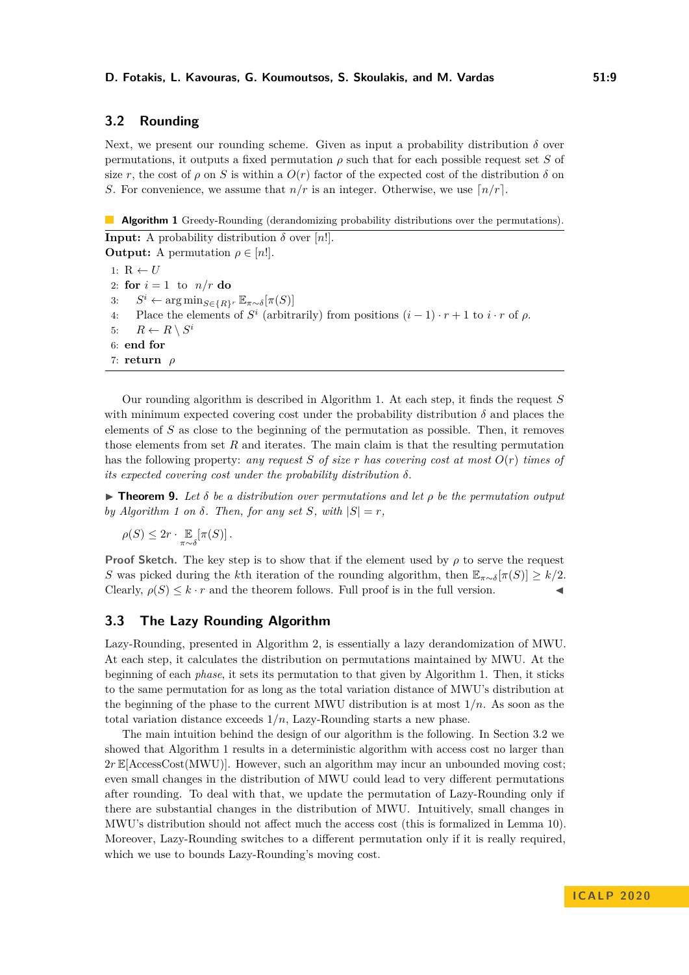# <span id="page-8-0"></span>**3.2 Rounding**

Next, we present our rounding scheme. Given as input a probability distribution  $\delta$  over permutations, it outputs a fixed permutation  $\rho$  such that for each possible request set *S* of size *r*, the cost of  $\rho$  on *S* is within a  $O(r)$  factor of the expected cost of the distribution  $\delta$  on *S*. For convenience, we assume that  $n/r$  is an integer. Otherwise, we use  $\lceil n/r \rceil$ .

<span id="page-8-1"></span> $\mathcal{L}_{\mathcal{A}}$ **Algorithm 1** Greedy-Rounding (derandomizing probability distributions over the permutations).

**Input:** A probability distribution  $\delta$  over [*n*!]. **Output:** A permutation  $\rho \in [n!]$ . 1:  $R \leftarrow U$ 2: **for**  $i = 1$  to  $n/r$  **do** 3: *S <sup>i</sup>* ← arg min*S*∈{*R*}*<sup>r</sup>* E*π*∼*δ*[*π*(*S*)] 4: Place the elements of  $S^i$  (arbitrarily) from positions  $(i-1) \cdot r + 1$  to  $i \cdot r$  of  $\rho$ . 5:  $R \leftarrow R \setminus S^i$ 6: **end for** 7: **return** *ρ*

Our rounding algorithm is described in Algorithm [1.](#page-8-1) At each step, it finds the request *S* with minimum expected covering cost under the probability distribution  $\delta$  and places the elements of *S* as close to the beginning of the permutation as possible. Then, it removes those elements from set *R* and iterates. The main claim is that the resulting permutation has the following property: *any request S of size r has covering cost at most O*(*r*) *times of its expected covering cost under the probability distribution δ*.

<span id="page-8-2"></span>**Theorem 9.** Let  $\delta$  be a distribution over permutations and let  $\rho$  be the permutation output *by Algorithm* [1](#page-8-1) *on*  $\delta$ *. Then, for any set S, with*  $|S| = r$ *,* 

$$
\rho(S) \leq 2r \cdot \mathop{\mathbb{E}}_{\pi \sim \delta}[\pi(S)].
$$

**Proof Sketch.** The key step is to show that if the element used by  $\rho$  to serve the request *S* was picked during the *k*th iteration of the rounding algorithm, then  $\mathbb{E}_{\pi \sim \delta}[\pi(S)] \geq k/2$ . Clearly,  $\rho(S) \leq k \cdot r$  and the theorem follows. Full proof is in the full version.

## **3.3 The Lazy Rounding Algorithm**

Lazy-Rounding, presented in Algorithm [2,](#page-9-0) is essentially a lazy derandomization of MWU. At each step, it calculates the distribution on permutations maintained by MWU. At the beginning of each *phase*, it sets its permutation to that given by Algorithm [1.](#page-8-1) Then, it sticks to the same permutation for as long as the total variation distance of MWU's distribution at the beginning of the phase to the current MWU distribution is at most 1*/n*. As soon as the total variation distance exceeds 1*/n*, Lazy-Rounding starts a new phase.

The main intuition behind the design of our algorithm is the following. In Section [3.2](#page-8-0) we showed that Algorithm [1](#page-8-1) results in a deterministic algorithm with access cost no larger than 2*r* E[AccessCost(MWU)]. However, such an algorithm may incur an unbounded moving cost; even small changes in the distribution of MWU could lead to very different permutations after rounding. To deal with that, we update the permutation of Lazy-Rounding only if there are substantial changes in the distribution of MWU. Intuitively, small changes in MWU's distribution should not affect much the access cost (this is formalized in Lemma [10\)](#page-9-3). Moreover, Lazy-Rounding switches to a different permutation only if it is really required, which we use to bounds Lazy-Rounding's moving cost.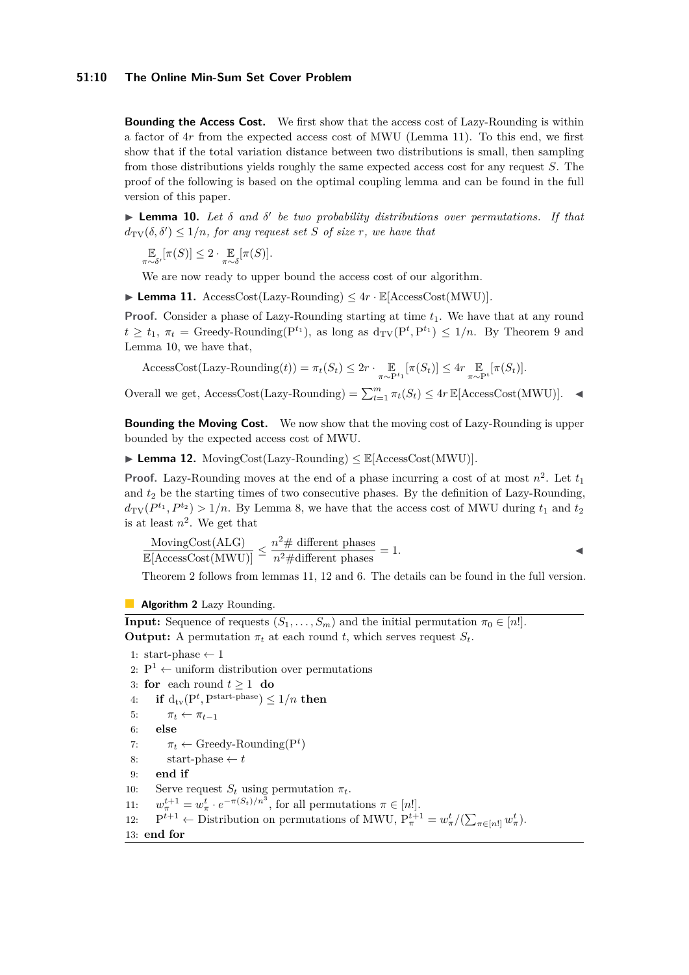#### **51:10 The Online Min-Sum Set Cover Problem**

**Bounding the Access Cost.** We first show that the access cost of Lazy-Rounding is within a factor of 4*r* from the expected access cost of MWU (Lemma [11\)](#page-9-1). To this end, we first show that if the total variation distance between two distributions is small, then sampling from those distributions yields roughly the same expected access cost for any request *S*. The proof of the following is based on the optimal coupling lemma and can be found in the full version of this paper.

<span id="page-9-3"></span>**Lemma 10.** Let δ and δ' be two probability distributions over permutations. If that  $d_{\text{TV}}(\delta, \delta') \leq 1/n$ , for any request set *S* of size *r*, we have that

$$
\mathop{\mathbb{E}}_{\pi \sim \delta'}[\pi(S)] \leq 2 \cdot \mathop{\mathbb{E}}_{\pi \sim \delta}[\pi(S)].
$$

We are now ready to upper bound the access cost of our algorithm.

<span id="page-9-1"></span> $\blacktriangleright$  **Lemma 11.** AccessCost(Lazy-Rounding)  $\leq 4r \cdot \mathbb{E}[\text{AccessCost}(\text{MWU})].$ 

**Proof.** Consider a phase of Lazy-Rounding starting at time  $t_1$ . We have that at any round  $t \geq t_1$ ,  $\pi_t$  = Greedy-Rounding( $P^{t_1}$ ), as long as  $d_{TV}(P^t, P^{t_1}) \leq 1/n$ . By Theorem [9](#page-8-2) and Lemma [10,](#page-9-3) we have that,

 $\text{AccessCost}(\text{Lazy-Rounding}(t)) = \pi_t(S_t) \leq 2r \cdot \frac{\mathbb{E}}{\pi \sim \mathbb{P}^{t_1}}[\pi(S_t)] \leq 4r \cdot \frac{\mathbb{E}}{\pi \sim \mathbb{P}^{t}}[\pi(S_t)].$ 

Overall we get,  $\text{AccessCost}(\text{Lazy-Rounding}) = \sum_{t=1}^{m} \pi_t(S_t) \leq 4r \mathbb{E}[\text{AccessCost}(\text{MWU})].$ 

**Bounding the Moving Cost.** We now show that the moving cost of Lazy-Rounding is upper bounded by the expected access cost of MWU.

<span id="page-9-2"></span> $\blacktriangleright$  **Lemma 12.** MovingCost(Lazy-Rounding)  $\leq \mathbb{E}[\text{AccessCost(MWU)}].$ 

**Proof.** Lazy-Rounding moves at the end of a phase incurring a cost of at most  $n^2$ . Let  $t_1$ and *t*<sup>2</sup> be the starting times of two consecutive phases. By the definition of Lazy-Rounding,  $d_{\text{TV}}(P^{t_1}, P^{t_2}) > 1/n$ . By Lemma [8,](#page-7-3) we have that the access cost of MWU during  $t_1$  and  $t_2$ is at least  $n^2$ . We get that

$$
\frac{\text{MovingCost(ALG)}}{\mathbb{E}[\text{AccessCost(MWU)}]} \le \frac{n^2 \# \text{ different phases}}{n^2 \# \text{different phases}} = 1.
$$

Theorem [2](#page-2-0) follows from lemmas [11,](#page-9-1) [12](#page-9-2) and [6.](#page-7-1) The details can be found in the full version.

<span id="page-9-0"></span>**Algorithm 2** Lazy Rounding.

**Input:** Sequence of requests  $(S_1, \ldots, S_m)$  and the initial permutation  $\pi_0 \in [n!]$ . **Output:** A permutation  $\pi_t$  at each round *t*, which serves request  $S_t$ .

```
1: start-phase \leftarrow 1
 2: P^1 \leftarrow uniform distribution over permutations
 3: for each round t > 1 do
 4: if d_{\text{tv}}(P^t, P^{\text{start-phase}}) \leq 1/n then
 5: \pi_t \leftarrow \pi_{t-1}6: else
 7: \pi_t \leftarrow \text{Greedy-Rounding}(P^t)8: start-phase \leftarrow t9: end if
10: Serve request S_t using permutation \pi_t.
11: w
          u_{\pi}^{t+1} = w_{\pi}^t \cdot e^{-\pi(S_t)/n^3}, for all permutations \pi \in [n!].
12:t+1 ← Distribution on permutations of MWU, P_{\pi}^{t+1} = w_{\pi}^{t}/(\sum_{\pi \in [n!]} w_{\pi}^{t}).
13: end for
```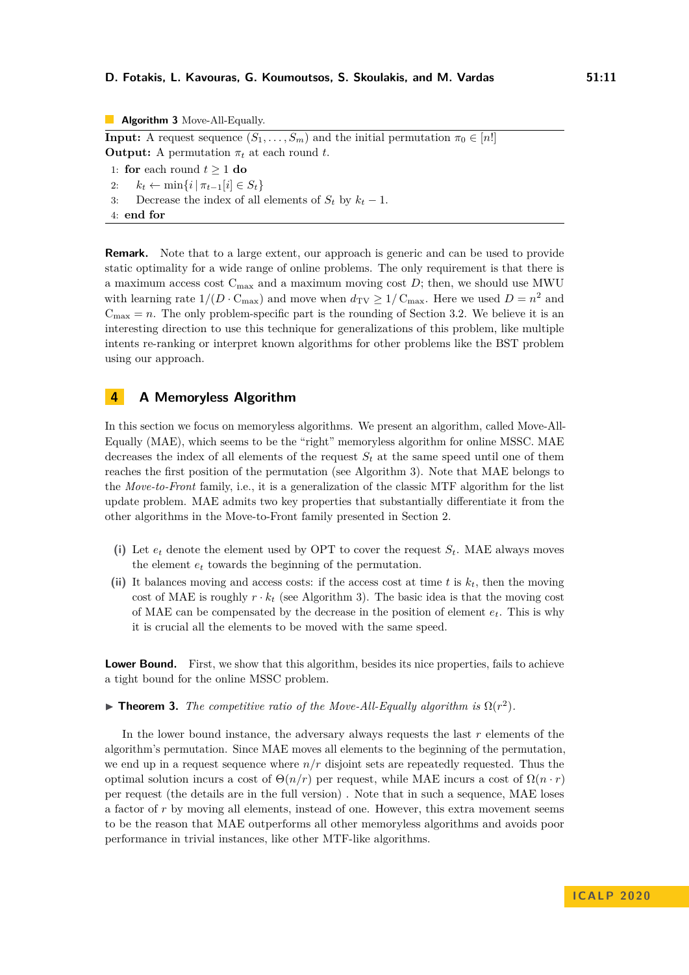#### **D. Fotakis, L. Kavouras, G. Koumoutsos, S. Skoulakis, and M. Vardas 51:11**

<span id="page-10-1"></span>**Algorithm 3** Move-All-Equally. **Input:** A request sequence  $(S_1, \ldots, S_m)$  and the initial permutation  $\pi_0 \in [n!]$ **Output:** A permutation  $\pi_t$  at each round *t*. 1: **for** each round  $t \ge 1$  **do** 2:  $k_t \leftarrow \min\{i \mid \pi_{t-1}[i] \in S_t\}$ 3: Decrease the index of all elements of  $S_t$  by  $k_t - 1$ .

4: **end for**

**Remark.** Note that to a large extent, our approach is generic and can be used to provide static optimality for a wide range of online problems. The only requirement is that there is a maximum access cost  $C_{\text{max}}$  and a maximum moving cost  $D$ ; then, we should use MWU with learning rate  $1/(D \cdot C_{\text{max}})$  and move when  $d_{\text{TV}} \geq 1/C_{\text{max}}$ . Here we used  $D = n^2$  and  $C_{\text{max}} = n$ . The only problem-specific part is the rounding of Section [3.2.](#page-8-0) We believe it is an interesting direction to use this technique for generalizations of this problem, like multiple intents re-ranking or interpret known algorithms for other problems like the BST problem using our approach.

# <span id="page-10-0"></span>**4 A Memoryless Algorithm**

In this section we focus on memoryless algorithms. We present an algorithm, called Move-All-Equally (MAE), which seems to be the "right" memoryless algorithm for online MSSC. MAE decreases the index of all elements of the request  $S_t$  at the same speed until one of them reaches the first position of the permutation (see Algorithm [3\)](#page-10-1). Note that MAE belongs to the *Move-to-Front* family, i.e., it is a generalization of the classic MTF algorithm for the list update problem. MAE admits two key properties that substantially differentiate it from the other algorithms in the Move-to-Front family presented in Section [2.](#page-5-1)

- (i) Let  $e_t$  denote the element used by OPT to cover the request  $S_t$ . MAE always moves the element *e<sup>t</sup>* towards the beginning of the permutation.
- **(ii)** It balances moving and access costs: if the access cost at time *t* is *kt*, then the moving cost of MAE is roughly  $r \cdot k_t$  (see Algorithm [3\)](#page-10-1). The basic idea is that the moving cost of MAE can be compensated by the decrease in the position of element *et*. This is why it is crucial all the elements to be moved with the same speed.

**Lower Bound.** First, we show that this algorithm, besides its nice properties, fails to achieve a tight bound for the online MSSC problem.

**Theorem [3.](#page-3-0)** *The competitive ratio of the Move-All-Equally algorithm is*  $\Omega(r^2)$ *.* 

In the lower bound instance, the adversary always requests the last *r* elements of the algorithm's permutation. Since MAE moves all elements to the beginning of the permutation, we end up in a request sequence where *n/r* disjoint sets are repeatedly requested. Thus the optimal solution incurs a cost of  $\Theta(n/r)$  per request, while MAE incurs a cost of  $\Omega(n \cdot r)$ per request (the details are in the full version) . Note that in such a sequence, MAE loses a factor of *r* by moving all elements, instead of one. However, this extra movement seems to be the reason that MAE outperforms all other memoryless algorithms and avoids poor performance in trivial instances, like other MTF-like algorithms.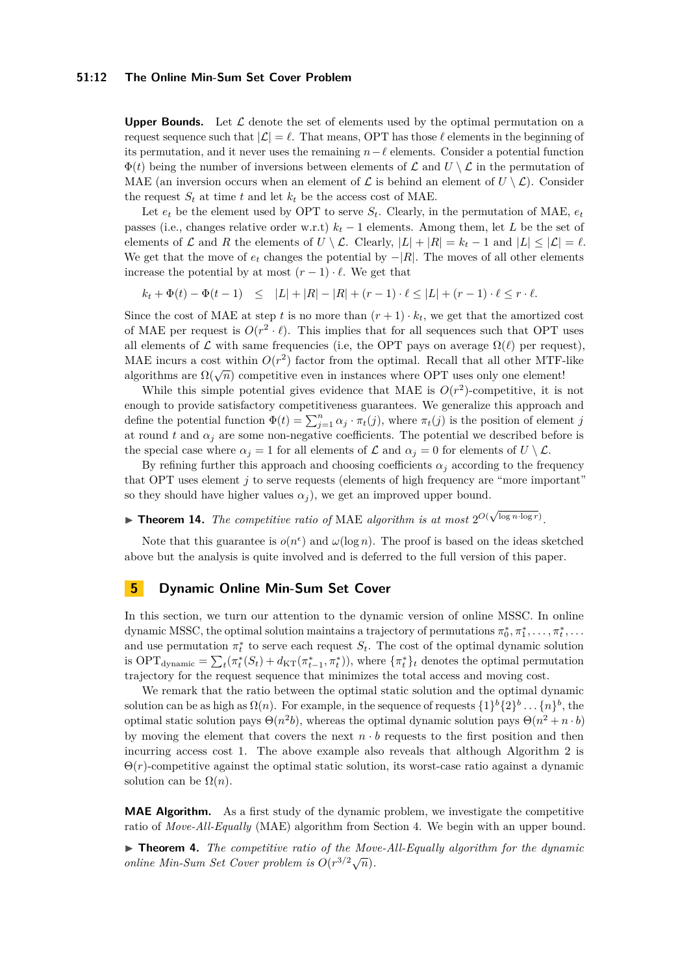#### **51:12 The Online Min-Sum Set Cover Problem**

**Upper Bounds.** Let  $\mathcal{L}$  denote the set of elements used by the optimal permutation on a request sequence such that  $|\mathcal{L}| = \ell$ . That means, OPT has those  $\ell$  elements in the beginning of its permutation, and it never uses the remaining  $n-\ell$  elements. Consider a potential function  $\Phi(t)$  being the number of inversions between elements of  $\mathcal L$  and  $U \setminus \mathcal L$  in the permutation of MAE (an inversion occurs when an element of  $\mathcal{L}$  is behind an element of  $U \setminus \mathcal{L}$ ). Consider the request  $S_t$  at time  $t$  and let  $k_t$  be the access cost of MAE.

Let  $e_t$  be the element used by OPT to serve  $S_t$ . Clearly, in the permutation of MAE,  $e_t$ passes (i.e., changes relative order w.r.t) *k<sup>t</sup>* − 1 elements. Among them, let *L* be the set of elements of  $\mathcal L$  and  $R$  the elements of  $U \setminus \mathcal L$ . Clearly,  $|L| + |R| = k_t - 1$  and  $|L| \leq |\mathcal L| = \ell$ . We get that the move of  $e_t$  changes the potential by  $-|R|$ . The moves of all other elements increase the potential by at most  $(r-1) \cdot \ell$ . We get that

 $k_t + \Phi(t) - \Phi(t-1) \leq |L| + |R| - |R| + (r-1) \cdot \ell \leq |L| + (r-1) \cdot \ell \leq r \cdot \ell.$ 

Since the cost of MAE at step *t* is no more than  $(r + 1) \cdot k_t$ , we get that the amortized cost of MAE per request is  $O(r^2 \cdot \ell)$ . This implies that for all sequences such that OPT uses all elements of  $\mathcal L$  with same frequencies (i.e, the OPT pays on average  $\Omega(\ell)$  per request), MAE incurs a cost within  $O(r^2)$  factor from the optimal. Recall that all other MTF-like algorithms are  $\Omega(\sqrt{n})$  competitive even in instances where OPT uses only one element!

While this simple potential gives evidence that MAE is  $O(r^2)$ -competitive, it is not enough to provide satisfactory competitiveness guarantees. We generalize this approach and define the potential function  $\Phi(t) = \sum_{j=1}^{n} \alpha_j \cdot \pi_t(j)$ , where  $\pi_t(j)$  is the position of element *j* at round *t* and  $\alpha_j$  are some non-negative coefficients. The potential we described before is the special case where  $\alpha_j = 1$  for all elements of  $\mathcal L$  and  $\alpha_j = 0$  for elements of  $U \setminus \mathcal L$ .

By refining further this approach and choosing coefficients  $\alpha_j$  according to the frequency that OPT uses element *j* to serve requests (elements of high frequency are "more important" so they should have higher values  $\alpha_j$ , we get an improved upper bound.

► **Theorem 14.** *The competitive ratio of* MAE *algorithm is at most*  $2^{O(\sqrt{\log n \cdot \log r}})$ .

Note that this guarantee is  $o(n^{\epsilon})$  and  $\omega(\log n)$ . The proof is based on the ideas sketched above but the analysis is quite involved and is deferred to the full version of this paper.

# **5 Dynamic Online Min-Sum Set Cover**

In this section, we turn our attention to the dynamic version of online MSSC. In online dynamic MSSC, the optimal solution maintains a trajectory of permutations  $\pi_0^*, \pi_1^*, \ldots, \pi_t^*, \ldots$ and use permutation  $\pi_t^*$  to serve each request  $S_t$ . The cost of the optimal dynamic solution is  $\text{OPT}_{\text{dynamic}} = \sum_{t} (\pi_t^*(S_t) + d_{\text{KT}}(\pi_{t-1}^*, \pi_t^*))$ , where  $\{\pi_t^*\}_t$  denotes the optimal permutation trajectory for the request sequence that minimizes the total access and moving cost.

We remark that the ratio between the optimal static solution and the optimal dynamic solution can be as high as  $\Omega(n)$ . For example, in the sequence of requests  $\{1\}^b \{2\}^b \dots \{n\}^b$ , the optimal static solution pays  $\Theta(n^2b)$ , whereas the optimal dynamic solution pays  $\Theta(n^2 + n \cdot b)$ by moving the element that covers the next  $n \cdot b$  requests to the first position and then incurring access cost 1. The above example also reveals that although Algorithm [2](#page-9-0) is  $\Theta(r)$ -competitive against the optimal static solution, its worst-case ratio against a dynamic solution can be  $\Omega(n)$ .

**MAE Algorithm.** As a first study of the dynamic problem, we investigate the competitive ratio of *Move-All-Equally* (MAE) algorithm from Section [4.](#page-10-0) We begin with an upper bound.

▶ **Theorem [4.](#page-3-1)** *The competitive ratio of the Move-All-Equally algorithm for the dynamic online Min-Sum Set Cover problem is*  $O(r^{3/2}\sqrt{n})$ .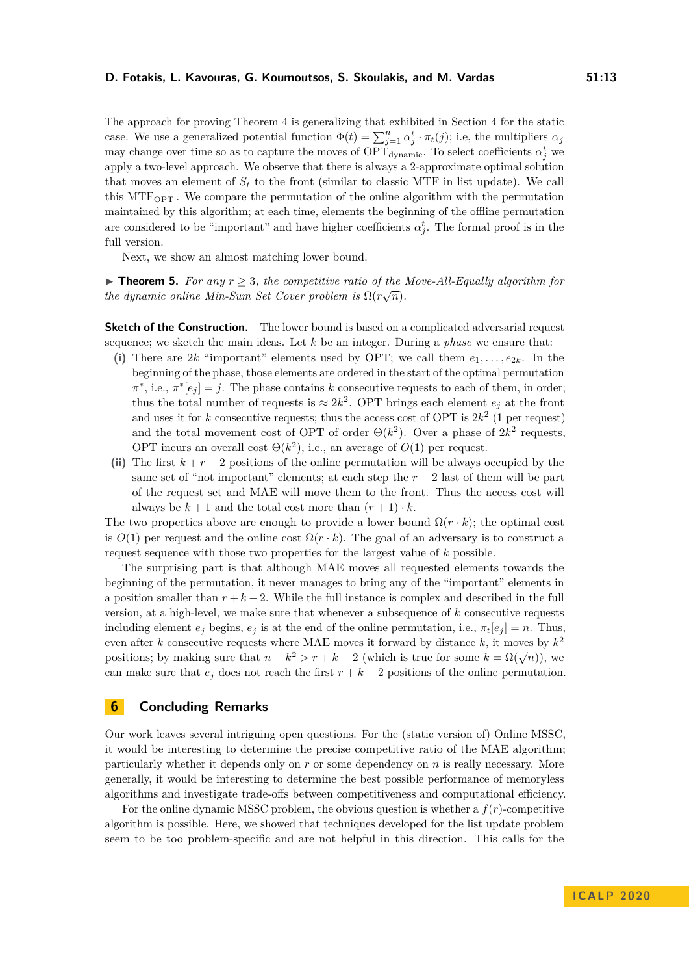The approach for proving Theorem [4](#page-3-1) is generalizing that exhibited in Section [4](#page-10-0) for the static case. We use a generalized potential function  $\Phi(t) = \sum_{j=1}^{n} \alpha_j^t \cdot \pi_t(j)$ ; i.e, the multipliers  $\alpha_j$ may change over time so as to capture the moves of  $\text{OPT}_{\text{dynamic}}$ . To select coefficients  $\alpha_j^t$  we apply a two-level approach. We observe that there is always a 2-approximate optimal solution that moves an element of  $S_t$  to the front (similar to classic MTF in list update). We call this MTFOPT . We compare the permutation of the online algorithm with the permutation maintained by this algorithm; at each time, elements the beginning of the offline permutation are considered to be "important" and have higher coefficients  $\alpha_j^t$ . The formal proof is in the full version.

Next, we show an almost matching lower bound.

**Find [5.](#page-3-2)** For any  $r \geq 3$ , the competitive ratio of the Move-All-Equally algorithm for *the dynamic online Min-Sum Set Cover problem is*  $\Omega(r\sqrt{n})$ *.* 

**Sketch of the Construction.** The lower bound is based on a complicated adversarial request sequence; we sketch the main ideas. Let *k* be an integer. During a *phase* we ensure that:

- (i) There are 2*k* "important" elements used by OPT; we call them  $e_1, \ldots, e_{2k}$ . In the beginning of the phase, those elements are ordered in the start of the optimal permutation  $\pi^*$ , i.e.,  $\pi^*[e_j] = j$ . The phase contains *k* consecutive requests to each of them, in order; thus the total number of requests is  $\approx 2k^2$ . OPT brings each element  $e_j$  at the front and uses it for  $k$  consecutive requests; thus the access cost of OPT is  $2k^2$  (1 per request) and the total movement cost of OPT of order  $\Theta(k^2)$ . Over a phase of  $2k^2$  requests, OPT incurs an overall cost  $\Theta(k^2)$ , i.e., an average of  $O(1)$  per request.
- (ii) The first  $k + r 2$  positions of the online permutation will be always occupied by the same set of "not important" elements; at each step the  $r - 2$  last of them will be part of the request set and MAE will move them to the front. Thus the access cost will always be  $k + 1$  and the total cost more than  $(r + 1) \cdot k$ .

The two properties above are enough to provide a lower bound  $\Omega(r \cdot k)$ ; the optimal cost is  $O(1)$  per request and the online cost  $\Omega(r \cdot k)$ . The goal of an adversary is to construct a request sequence with those two properties for the largest value of *k* possible.

The surprising part is that although MAE moves all requested elements towards the beginning of the permutation, it never manages to bring any of the "important" elements in a position smaller than  $r + k - 2$ . While the full instance is complex and described in the full version, at a high-level, we make sure that whenever a subsequence of *k* consecutive requests including element  $e_j$  begins,  $e_j$  is at the end of the online permutation, i.e.,  $\pi_t[e_j] = n$ . Thus, even after *k* consecutive requests where MAE moves it forward by distance *k*, it moves by *k* 2 positions; by making sure that  $n - k^2 > r + k - 2$  (which is true for some  $k = \Omega(\sqrt{n})$ ), we can make sure that  $e_j$  does not reach the first  $r + k - 2$  positions of the online permutation.

# **6 Concluding Remarks**

Our work leaves several intriguing open questions. For the (static version of) Online MSSC, it would be interesting to determine the precise competitive ratio of the MAE algorithm; particularly whether it depends only on *r* or some dependency on *n* is really necessary. More generally, it would be interesting to determine the best possible performance of memoryless algorithms and investigate trade-offs between competitiveness and computational efficiency.

For the online dynamic MSSC problem, the obvious question is whether a *f*(*r*)-competitive algorithm is possible. Here, we showed that techniques developed for the list update problem seem to be too problem-specific and are not helpful in this direction. This calls for the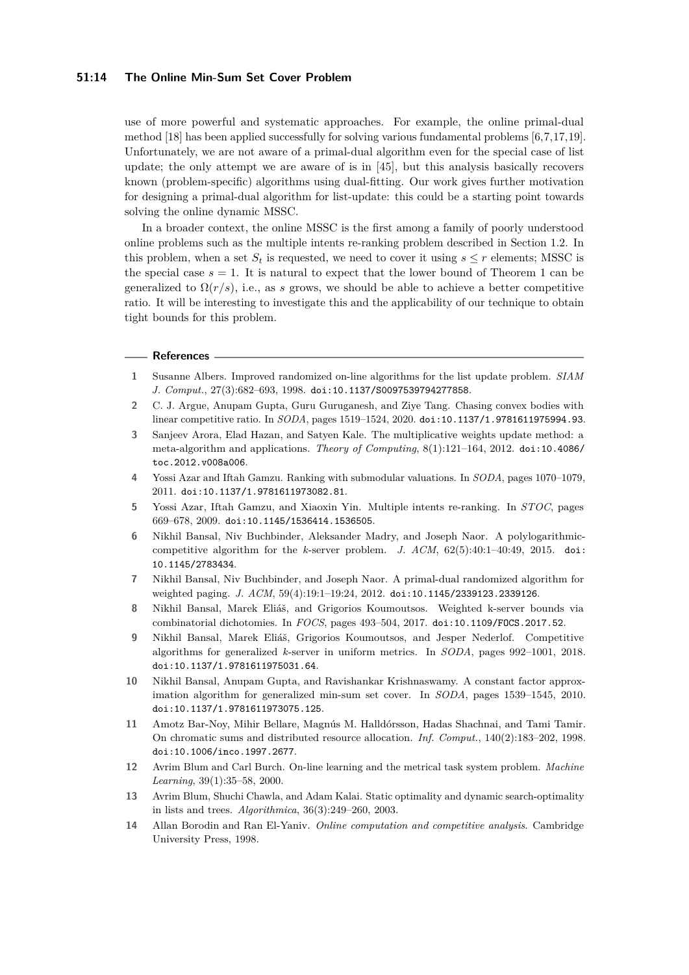#### **51:14 The Online Min-Sum Set Cover Problem**

use of more powerful and systematic approaches. For example, the online primal-dual method [\[18\]](#page-14-20) has been applied successfully for solving various fundamental problems [\[6,](#page-13-12)[7,](#page-13-13)[17,](#page-14-21)[19\]](#page-14-22). Unfortunately, we are not aware of a primal-dual algorithm even for the special case of list update; the only attempt we are aware of is in [\[45\]](#page-15-8), but this analysis basically recovers known (problem-specific) algorithms using dual-fitting. Our work gives further motivation for designing a primal-dual algorithm for list-update: this could be a starting point towards solving the online dynamic MSSC.

In a broader context, the online MSSC is the first among a family of poorly understood online problems such as the multiple intents re-ranking problem described in Section [1.2.](#page-4-0) In this problem, when a set  $S_t$  is requested, we need to cover it using  $s \leq r$  elements; MSSC is the special case  $s = 1$  $s = 1$ . It is natural to expect that the lower bound of Theorem 1 can be generalized to  $\Omega(r/s)$ , i.e., as *s* grows, we should be able to achieve a better competitive ratio. It will be interesting to investigate this and the applicability of our technique to obtain tight bounds for this problem.

#### **References**

- <span id="page-13-3"></span>**1** Susanne Albers. Improved randomized on-line algorithms for the list update problem. *SIAM J. Comput.*, 27(3):682–693, 1998. [doi:10.1137/S0097539794277858](https://doi.org/10.1137/S0097539794277858).
- <span id="page-13-9"></span>**2** C. J. Argue, Anupam Gupta, Guru Guruganesh, and Ziye Tang. Chasing convex bodies with linear competitive ratio. In *SODA*, pages 1519–1524, 2020. [doi:10.1137/1.9781611975994.93](https://doi.org/10.1137/1.9781611975994.93).
- <span id="page-13-8"></span>**3** Sanjeev Arora, Elad Hazan, and Satyen Kale. The multiplicative weights update method: a meta-algorithm and applications. *Theory of Computing*, 8(1):121–164, 2012. [doi:10.4086/](https://doi.org/10.4086/toc.2012.v008a006) [toc.2012.v008a006](https://doi.org/10.4086/toc.2012.v008a006).
- <span id="page-13-7"></span>**4** Yossi Azar and Iftah Gamzu. Ranking with submodular valuations. In *SODA*, pages 1070–1079, 2011. [doi:10.1137/1.9781611973082.81](https://doi.org/10.1137/1.9781611973082.81).
- <span id="page-13-5"></span>**5** Yossi Azar, Iftah Gamzu, and Xiaoxin Yin. Multiple intents re-ranking. In *STOC*, pages 669–678, 2009. [doi:10.1145/1536414.1536505](https://doi.org/10.1145/1536414.1536505).
- <span id="page-13-12"></span>**6** Nikhil Bansal, Niv Buchbinder, Aleksander Madry, and Joseph Naor. A polylogarithmiccompetitive algorithm for the *k*-server problem. *J. ACM*, 62(5):40:1–40:49, 2015. [doi:](https://doi.org/10.1145/2783434) [10.1145/2783434](https://doi.org/10.1145/2783434).
- <span id="page-13-13"></span>**7** Nikhil Bansal, Niv Buchbinder, and Joseph Naor. A primal-dual randomized algorithm for weighted paging. *J. ACM*, 59(4):19:1–19:24, 2012. [doi:10.1145/2339123.2339126](https://doi.org/10.1145/2339123.2339126).
- <span id="page-13-10"></span>**8** Nikhil Bansal, Marek Eliáš, and Grigorios Koumoutsos. Weighted k-server bounds via combinatorial dichotomies. In *FOCS*, pages 493–504, 2017. [doi:10.1109/FOCS.2017.52](https://doi.org/10.1109/FOCS.2017.52).
- <span id="page-13-11"></span>**9** Nikhil Bansal, Marek Eliáš, Grigorios Koumoutsos, and Jesper Nederlof. Competitive algorithms for generalized *k*-server in uniform metrics. In *SODA*, pages 992–1001, 2018. [doi:10.1137/1.9781611975031.64](https://doi.org/10.1137/1.9781611975031.64).
- <span id="page-13-6"></span>**10** Nikhil Bansal, Anupam Gupta, and Ravishankar Krishnaswamy. A constant factor approximation algorithm for generalized min-sum set cover. In *SODA*, pages 1539–1545, 2010. [doi:10.1137/1.9781611973075.125](https://doi.org/10.1137/1.9781611973075.125).
- <span id="page-13-0"></span>**11** Amotz Bar-Noy, Mihir Bellare, Magnús M. Halldórsson, Hadas Shachnai, and Tami Tamir. On chromatic sums and distributed resource allocation. *Inf. Comput.*, 140(2):183–202, 1998. [doi:10.1006/inco.1997.2677](https://doi.org/10.1006/inco.1997.2677).
- <span id="page-13-4"></span>**12** Avrim Blum and Carl Burch. On-line learning and the metrical task system problem. *Machine Learning*, 39(1):35–58, 2000.
- <span id="page-13-1"></span>**13** Avrim Blum, Shuchi Chawla, and Adam Kalai. Static optimality and dynamic search-optimality in lists and trees. *Algorithmica*, 36(3):249–260, 2003.
- <span id="page-13-2"></span>**14** Allan Borodin and Ran El-Yaniv. *Online computation and competitive analysis*. Cambridge University Press, 1998.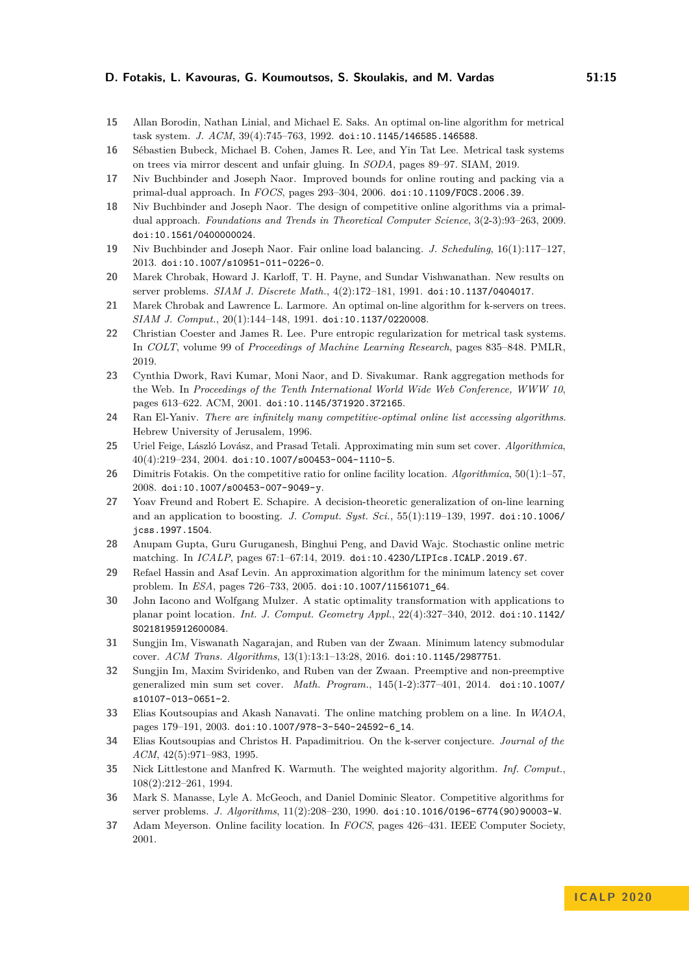- <span id="page-14-7"></span>**15** Allan Borodin, Nathan Linial, and Michael E. Saks. An optimal on-line algorithm for metrical task system. *J. ACM*, 39(4):745–763, 1992. [doi:10.1145/146585.146588](https://doi.org/10.1145/146585.146588).
- <span id="page-14-16"></span>**16** Sébastien Bubeck, Michael B. Cohen, James R. Lee, and Yin Tat Lee. Metrical task systems on trees via mirror descent and unfair gluing. In *SODA*, pages 89–97. SIAM, 2019.
- <span id="page-14-21"></span>**17** Niv Buchbinder and Joseph Naor. Improved bounds for online routing and packing via a primal-dual approach. In *FOCS*, pages 293–304, 2006. [doi:10.1109/FOCS.2006.39](https://doi.org/10.1109/FOCS.2006.39).
- <span id="page-14-20"></span>**18** Niv Buchbinder and Joseph Naor. The design of competitive online algorithms via a primaldual approach. *Foundations and Trends in Theoretical Computer Science*, 3(2-3):93–263, 2009. [doi:10.1561/0400000024](https://doi.org/10.1561/0400000024).
- <span id="page-14-22"></span>**19** Niv Buchbinder and Joseph Naor. Fair online load balancing. *J. Scheduling*, 16(1):117–127, 2013. [doi:10.1007/s10951-011-0226-0](https://doi.org/10.1007/s10951-011-0226-0).
- <span id="page-14-9"></span>**20** Marek Chrobak, Howard J. Karloff, T. H. Payne, and Sundar Vishwanathan. New results on server problems. *SIAM J. Discrete Math.*, 4(2):172–181, 1991. [doi:10.1137/0404017](https://doi.org/10.1137/0404017).
- <span id="page-14-10"></span>**21** Marek Chrobak and Lawrence L. Larmore. An optimal on-line algorithm for k-servers on trees. *SIAM J. Comput.*, 20(1):144–148, 1991. [doi:10.1137/0220008](https://doi.org/10.1137/0220008).
- <span id="page-14-17"></span>**22** Christian Coester and James R. Lee. Pure entropic regularization for metrical task systems. In *COLT*, volume 99 of *Proceedings of Machine Learning Research*, pages 835–848. PMLR, 2019.
- <span id="page-14-1"></span>**23** Cynthia Dwork, Ravi Kumar, Moni Naor, and D. Sivakumar. Rank aggregation methods for the Web. In *Proceedings of the Tenth International World Wide Web Conference, WWW 10*, pages 613–622. ACM, 2001. [doi:10.1145/371920.372165](https://doi.org/10.1145/371920.372165).
- <span id="page-14-8"></span>**24** Ran El-Yaniv. *There are infinitely many competitive-optimal online list accessing algorithms*. Hebrew University of Jerusalem, 1996.
- <span id="page-14-0"></span>**25** Uriel Feige, László Lovász, and Prasad Tetali. Approximating min sum set cover. *Algorithmica*, 40(4):219–234, 2004. [doi:10.1007/s00453-004-1110-5](https://doi.org/10.1007/s00453-004-1110-5).
- <span id="page-14-3"></span>**26** Dimitris Fotakis. On the competitive ratio for online facility location. *Algorithmica*, 50(1):1–57, 2008. [doi:10.1007/s00453-007-9049-y](https://doi.org/10.1007/s00453-007-9049-y).
- <span id="page-14-14"></span>**27** Yoav Freund and Robert E. Schapire. A decision-theoretic generalization of on-line learning and an application to boosting. *J. Comput. Syst. Sci.*, 55(1):119–139, 1997. [doi:10.1006/](https://doi.org/10.1006/jcss.1997.1504) [jcss.1997.1504](https://doi.org/10.1006/jcss.1997.1504).
- <span id="page-14-5"></span>**28** Anupam Gupta, Guru Guruganesh, Binghui Peng, and David Wajc. Stochastic online metric matching. In *ICALP*, pages 67:1–67:14, 2019. [doi:10.4230/LIPIcs.ICALP.2019.67](https://doi.org/10.4230/LIPIcs.ICALP.2019.67).
- <span id="page-14-11"></span>**29** Refael Hassin and Asaf Levin. An approximation algorithm for the minimum latency set cover problem. In *ESA*, pages 726–733, 2005. [doi:10.1007/11561071\\_64](https://doi.org/10.1007/11561071_64).
- <span id="page-14-2"></span>**30** John Iacono and Wolfgang Mulzer. A static optimality transformation with applications to planar point location. *Int. J. Comput. Geometry Appl.*, 22(4):327–340, 2012. [doi:10.1142/](https://doi.org/10.1142/S0218195912600084) [S0218195912600084](https://doi.org/10.1142/S0218195912600084).
- <span id="page-14-13"></span>**31** Sungjin Im, Viswanath Nagarajan, and Ruben van der Zwaan. Minimum latency submodular cover. *ACM Trans. Algorithms*, 13(1):13:1–13:28, 2016. [doi:10.1145/2987751](https://doi.org/10.1145/2987751).
- <span id="page-14-12"></span>**32** Sungjin Im, Maxim Sviridenko, and Ruben van der Zwaan. Preemptive and non-preemptive generalized min sum set cover. *Math. Program.*, 145(1-2):377–401, 2014. [doi:10.1007/](https://doi.org/10.1007/s10107-013-0651-2) [s10107-013-0651-2](https://doi.org/10.1007/s10107-013-0651-2).
- <span id="page-14-6"></span>**33** Elias Koutsoupias and Akash Nanavati. The online matching problem on a line. In *WAOA*, pages 179–191, 2003. [doi:10.1007/978-3-540-24592-6\\_14](https://doi.org/10.1007/978-3-540-24592-6_14).
- <span id="page-14-18"></span>**34** Elias Koutsoupias and Christos H. Papadimitriou. On the k-server conjecture. *Journal of the ACM*, 42(5):971–983, 1995.
- <span id="page-14-15"></span>**35** Nick Littlestone and Manfred K. Warmuth. The weighted majority algorithm. *Inf. Comput.*, 108(2):212–261, 1994.
- <span id="page-14-19"></span>**36** Mark S. Manasse, Lyle A. McGeoch, and Daniel Dominic Sleator. Competitive algorithms for server problems. *J. Algorithms*, 11(2):208–230, 1990. [doi:10.1016/0196-6774\(90\)90003-W](https://doi.org/10.1016/0196-6774(90)90003-W).
- <span id="page-14-4"></span>**37** Adam Meyerson. Online facility location. In *FOCS*, pages 426–431. IEEE Computer Society, 2001.